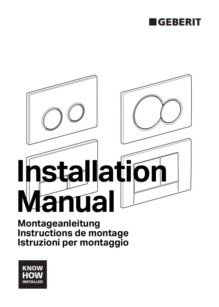



**Montageanleitung Instructions de montage Istruzioni per montaggio**

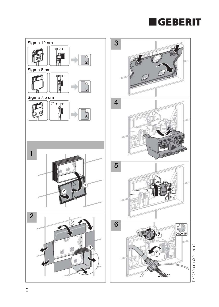





D53269-001 © 01-2012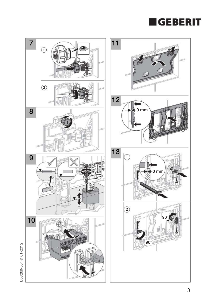



D53269-001 @ 01-2012 D53269-001 © 01-2012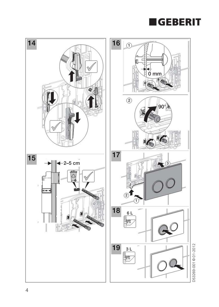

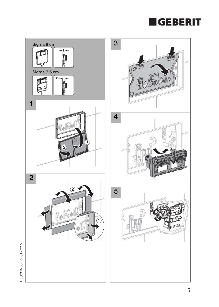## **EGEBERIT**



D53269-001 © 01-2012 D53269-001 © 01-2012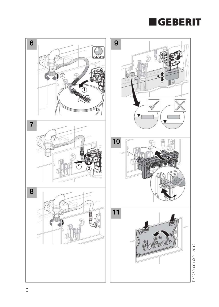

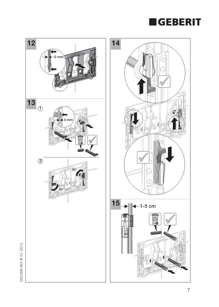



D53269-001 © 01-2012 D53269-001 © 01-2012